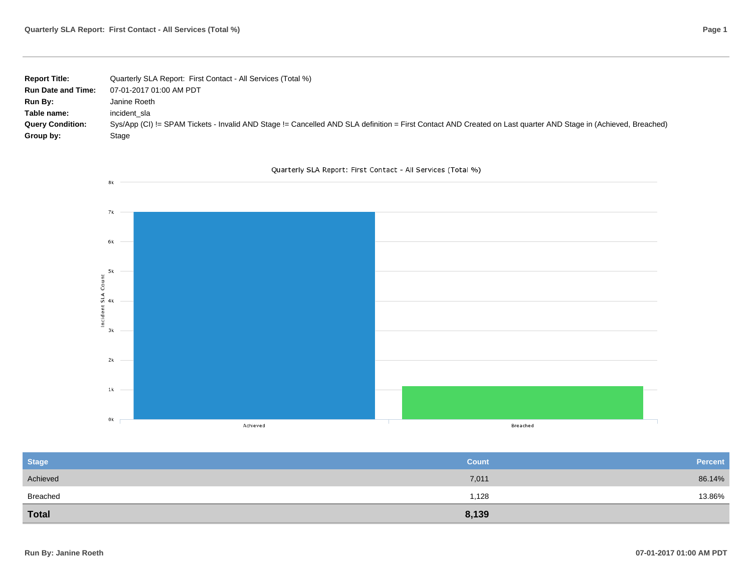| <b>Report Title:</b>      | Quarterly SLA Report: First Contact - All Services (Total %)                                                                                                   |
|---------------------------|----------------------------------------------------------------------------------------------------------------------------------------------------------------|
| <b>Run Date and Time:</b> | 07-01-2017 01:00 AM PDT                                                                                                                                        |
| <b>Run By:</b>            | Janine Roeth                                                                                                                                                   |
| Table name:               | incident sla                                                                                                                                                   |
| <b>Query Condition:</b>   | Sys/App (CI) != SPAM Tickets - Invalid AND Stage != Cancelled AND SLA definition = First Contact AND Created on Last quarter AND Stage in (Achieved, Breached) |
| Group by:                 | Stage                                                                                                                                                          |

Quarterly SLA Report: First Contact - All Services (Total %)



| <b>Stage</b> | <b>Count</b> | Percent |
|--------------|--------------|---------|
| Achieved     | 7,011        | 86.14%  |
| Breached     | 1,128        | 13.86%  |
| <b>Total</b> | 8,139        |         |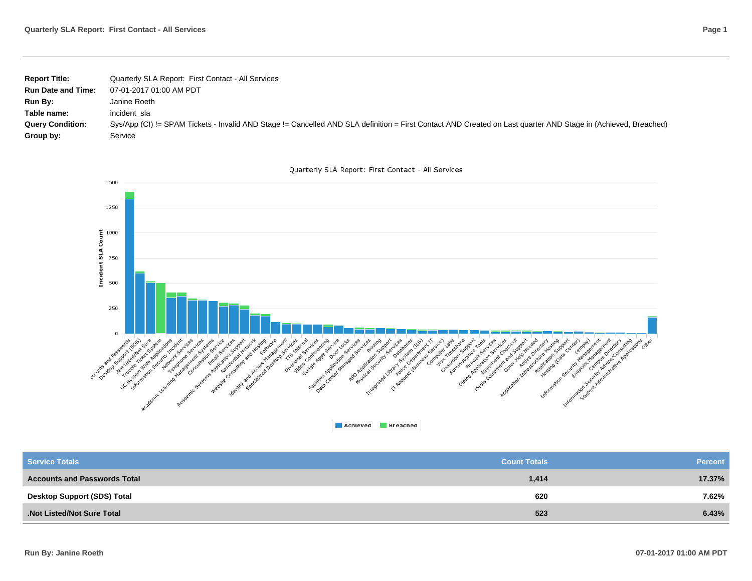| <b>Report Title:</b>      | Quarterly SLA Report: First Contact - All Services                                                                                                             |
|---------------------------|----------------------------------------------------------------------------------------------------------------------------------------------------------------|
| <b>Run Date and Time:</b> | 07-01-2017 01:00 AM PDT                                                                                                                                        |
| Run By:                   | Janine Roeth                                                                                                                                                   |
| Table name:               | incident sla                                                                                                                                                   |
| <b>Query Condition:</b>   | Sys/App (CI) != SPAM Tickets - Invalid AND Stage != Cancelled AND SLA definition = First Contact AND Created on Last quarter AND Stage in (Achieved, Breached) |
| Group by:                 | Service                                                                                                                                                        |

![](_page_1_Figure_2.jpeg)

![](_page_1_Figure_3.jpeg)

| <b>Service Totals</b>               | <b>Count Totals</b> | <b>Percent</b> |
|-------------------------------------|---------------------|----------------|
| <b>Accounts and Passwords Total</b> | 1,414               | 17.37%         |
| Desktop Support (SDS) Total         | 620                 | 7.62%          |
| Not Listed/Not Sure Total           | 523                 | 6.43%          |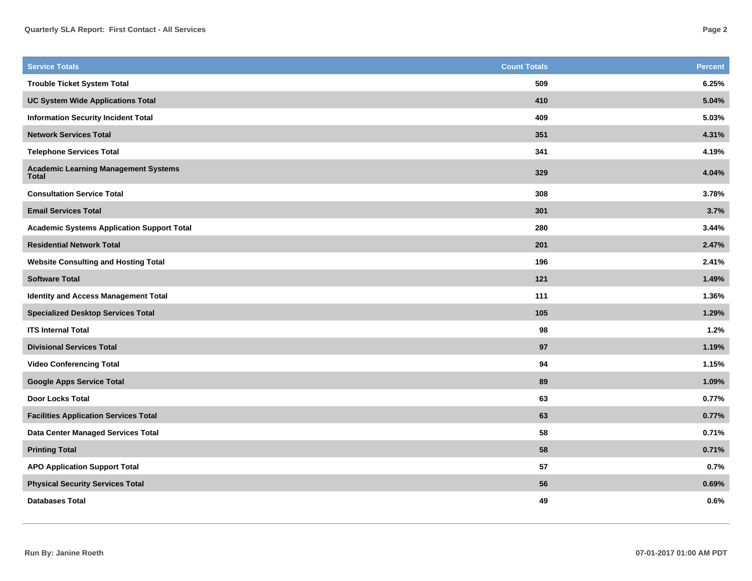| <b>Service Totals</b>                                       | <b>Count Totals</b> | <b>Percent</b> |
|-------------------------------------------------------------|---------------------|----------------|
| <b>Trouble Ticket System Total</b>                          | 509                 | 6.25%          |
| <b>UC System Wide Applications Total</b>                    | 410                 | 5.04%          |
| <b>Information Security Incident Total</b>                  | 409                 | 5.03%          |
| <b>Network Services Total</b>                               | 351                 | 4.31%          |
| <b>Telephone Services Total</b>                             | 341                 | 4.19%          |
| <b>Academic Learning Management Systems</b><br><b>Total</b> | 329                 | 4.04%          |
| <b>Consultation Service Total</b>                           | 308                 | 3.78%          |
| <b>Email Services Total</b>                                 | 301                 | 3.7%           |
| <b>Academic Systems Application Support Total</b>           | 280                 | 3.44%          |
| <b>Residential Network Total</b>                            | 201                 | 2.47%          |
| <b>Website Consulting and Hosting Total</b>                 | 196                 | 2.41%          |
| <b>Software Total</b>                                       | 121                 | 1.49%          |
| <b>Identity and Access Management Total</b>                 | 111                 | 1.36%          |
| <b>Specialized Desktop Services Total</b>                   | 105                 | 1.29%          |
| <b>ITS Internal Total</b>                                   | 98                  | 1.2%           |
| <b>Divisional Services Total</b>                            | 97                  | 1.19%          |
| <b>Video Conferencing Total</b>                             | 94                  | 1.15%          |
| <b>Google Apps Service Total</b>                            | 89                  | 1.09%          |
| <b>Door Locks Total</b>                                     | 63                  | 0.77%          |
| <b>Facilities Application Services Total</b>                | 63                  | 0.77%          |
| Data Center Managed Services Total                          | 58                  | 0.71%          |
| <b>Printing Total</b>                                       | 58                  | 0.71%          |
| <b>APO Application Support Total</b>                        | 57                  | 0.7%           |
| <b>Physical Security Services Total</b>                     | 56                  | 0.69%          |
| <b>Databases Total</b>                                      | 49                  | 0.6%           |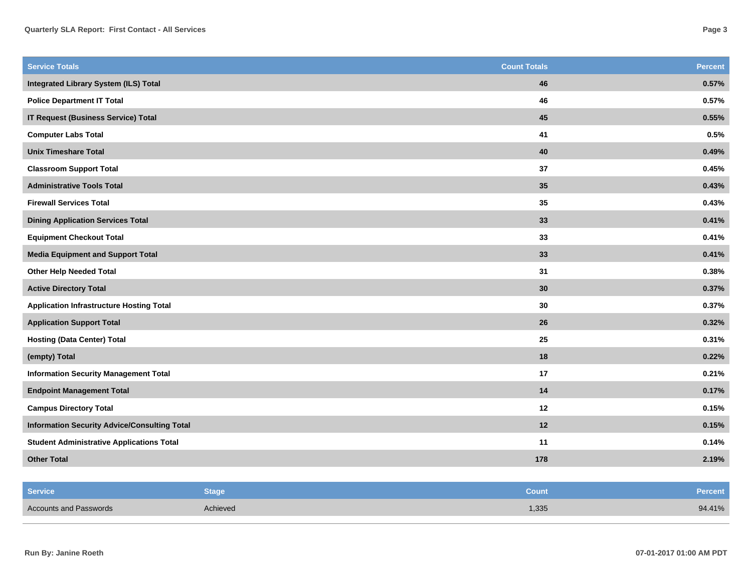| <b>Service Totals</b>                               | <b>Count Totals</b> | <b>Percent</b> |
|-----------------------------------------------------|---------------------|----------------|
| <b>Integrated Library System (ILS) Total</b>        | 46                  | 0.57%          |
| <b>Police Department IT Total</b>                   | 46                  | 0.57%          |
| <b>IT Request (Business Service) Total</b>          | 45                  | 0.55%          |
| <b>Computer Labs Total</b>                          | 41                  | 0.5%           |
| <b>Unix Timeshare Total</b>                         | 40                  | 0.49%          |
| <b>Classroom Support Total</b>                      | 37                  | 0.45%          |
| <b>Administrative Tools Total</b>                   | 35                  | 0.43%          |
| <b>Firewall Services Total</b>                      | 35                  | 0.43%          |
| <b>Dining Application Services Total</b>            | 33                  | 0.41%          |
| <b>Equipment Checkout Total</b>                     | 33                  | 0.41%          |
| <b>Media Equipment and Support Total</b>            | 33                  | 0.41%          |
| <b>Other Help Needed Total</b>                      | 31                  | 0.38%          |
| <b>Active Directory Total</b>                       | 30                  | 0.37%          |
| <b>Application Infrastructure Hosting Total</b>     | 30                  | 0.37%          |
| <b>Application Support Total</b>                    | 26                  | 0.32%          |
| <b>Hosting (Data Center) Total</b>                  | 25                  | 0.31%          |
| (empty) Total                                       | 18                  | 0.22%          |
| <b>Information Security Management Total</b>        | 17                  | 0.21%          |
| <b>Endpoint Management Total</b>                    | 14                  | 0.17%          |
| <b>Campus Directory Total</b>                       | 12                  | 0.15%          |
| <b>Information Security Advice/Consulting Total</b> | 12                  | 0.15%          |
| <b>Student Administrative Applications Total</b>    | 11                  | 0.14%          |
| <b>Other Total</b>                                  | 178                 | 2.19%          |

| <b>Service</b>                | Stage    | Count | <b>Percent</b> |
|-------------------------------|----------|-------|----------------|
| <b>Accounts and Passwords</b> | Achieved | 1,335 | 94.41%         |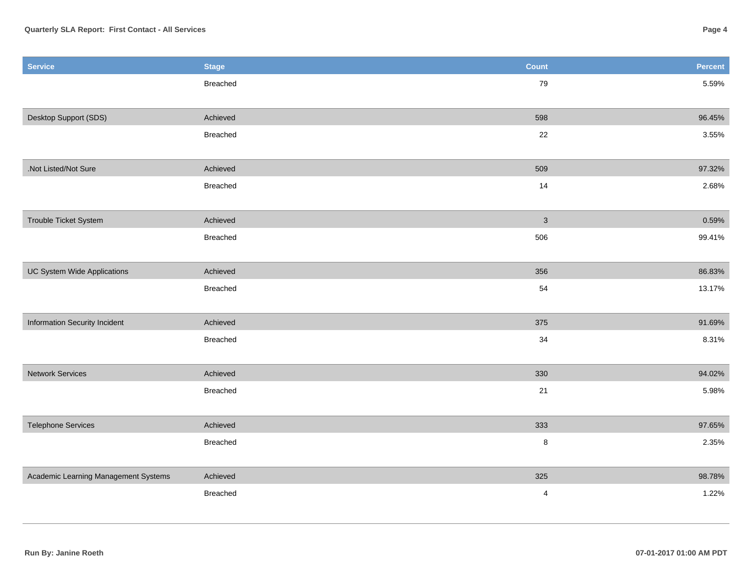| <b>Service</b>                       | <b>Stage</b>    | <b>Count</b>            | Percent |
|--------------------------------------|-----------------|-------------------------|---------|
|                                      | <b>Breached</b> | 79                      | 5.59%   |
|                                      |                 |                         |         |
| Desktop Support (SDS)                | Achieved        | 598                     | 96.45%  |
|                                      | Breached        | 22                      | 3.55%   |
|                                      |                 |                         |         |
| .Not Listed/Not Sure                 | Achieved        | 509                     | 97.32%  |
|                                      | Breached        | 14                      | 2.68%   |
|                                      |                 |                         |         |
| Trouble Ticket System                | Achieved        | $\sqrt{3}$              | 0.59%   |
|                                      | <b>Breached</b> | 506                     | 99.41%  |
|                                      |                 |                         |         |
| UC System Wide Applications          | Achieved        | 356                     | 86.83%  |
|                                      | Breached        | 54                      | 13.17%  |
|                                      |                 |                         |         |
| Information Security Incident        | Achieved        | 375                     | 91.69%  |
|                                      | Breached        | 34                      | 8.31%   |
|                                      |                 |                         |         |
| <b>Network Services</b>              | Achieved        | 330                     | 94.02%  |
|                                      | <b>Breached</b> | 21                      | 5.98%   |
|                                      |                 |                         |         |
| <b>Telephone Services</b>            | Achieved        | 333                     | 97.65%  |
|                                      | Breached        | $\bf 8$                 | 2.35%   |
|                                      |                 |                         |         |
| Academic Learning Management Systems | Achieved        | 325                     | 98.78%  |
|                                      | Breached        | $\overline{\mathbf{4}}$ | 1.22%   |
|                                      |                 |                         |         |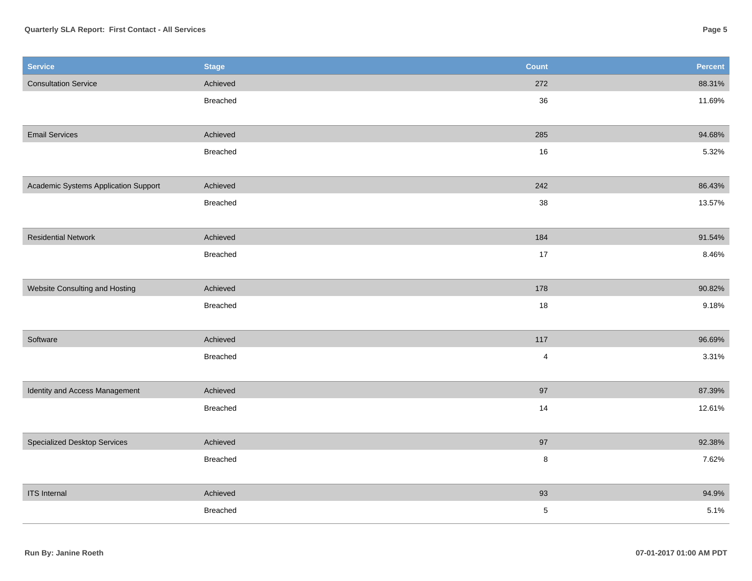## **Quarterly SLA Report: First Contact - All Services**

| <b>Service</b>                       | <b>Stage</b>    | <b>Count</b>            | Percent |
|--------------------------------------|-----------------|-------------------------|---------|
| <b>Consultation Service</b>          | Achieved        | 272                     | 88.31%  |
|                                      | Breached        | 36                      | 11.69%  |
|                                      |                 |                         |         |
| <b>Email Services</b>                | Achieved        | 285                     | 94.68%  |
|                                      | <b>Breached</b> | 16                      | 5.32%   |
|                                      |                 |                         |         |
| Academic Systems Application Support | Achieved        | 242                     | 86.43%  |
|                                      | <b>Breached</b> | 38                      | 13.57%  |
|                                      |                 |                         |         |
| <b>Residential Network</b>           | Achieved        | 184                     | 91.54%  |
|                                      | Breached        | $17$                    | 8.46%   |
|                                      |                 |                         |         |
| Website Consulting and Hosting       | Achieved        | 178                     | 90.82%  |
|                                      | <b>Breached</b> | 18                      | 9.18%   |
|                                      |                 |                         |         |
| Software                             | Achieved        | 117                     | 96.69%  |
|                                      | <b>Breached</b> | $\overline{\mathbf{4}}$ | 3.31%   |
|                                      |                 |                         |         |
| Identity and Access Management       | Achieved        | 97                      | 87.39%  |
|                                      | Breached        | 14                      | 12.61%  |
|                                      |                 |                         |         |
| <b>Specialized Desktop Services</b>  | Achieved        | 97                      | 92.38%  |
|                                      | <b>Breached</b> | $\bf 8$                 | 7.62%   |
|                                      |                 |                         |         |
| <b>ITS</b> Internal                  | Achieved        | 93                      | 94.9%   |
|                                      | <b>Breached</b> | $\,$ 5 $\,$             | 5.1%    |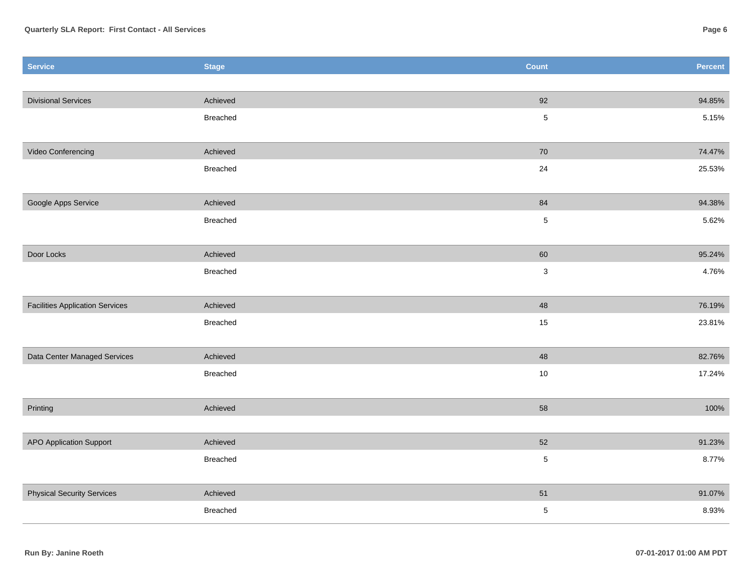| <b>Service</b>                         | <b>Stage</b>    | <b>Count</b> | Percent |
|----------------------------------------|-----------------|--------------|---------|
|                                        |                 |              |         |
| <b>Divisional Services</b>             | Achieved        | 92           | 94.85%  |
|                                        | <b>Breached</b> | $\sqrt{5}$   | 5.15%   |
|                                        |                 |              |         |
| Video Conferencing                     | Achieved        | 70           | 74.47%  |
|                                        | Breached        | 24           | 25.53%  |
|                                        |                 |              |         |
| Google Apps Service                    | Achieved        | 84           | 94.38%  |
|                                        | Breached        | $\,$ 5 $\,$  | 5.62%   |
| Door Locks                             | Achieved        | 60           | 95.24%  |
|                                        | Breached        | $\mathbf 3$  | 4.76%   |
|                                        |                 |              |         |
| <b>Facilities Application Services</b> | Achieved        | 48           | 76.19%  |
|                                        | Breached        | 15           | 23.81%  |
|                                        |                 |              |         |
| Data Center Managed Services           | Achieved        | 48           | 82.76%  |
|                                        | Breached        | $10$         | 17.24%  |
|                                        |                 |              |         |
| Printing                               | Achieved        | 58           | 100%    |
|                                        |                 | 52           |         |
| <b>APO Application Support</b>         | Achieved        |              | 91.23%  |
|                                        | Breached        | $\,$ 5 $\,$  | 8.77%   |
| <b>Physical Security Services</b>      | Achieved        | 51           | 91.07%  |
|                                        | Breached        | $\,$ 5 $\,$  | 8.93%   |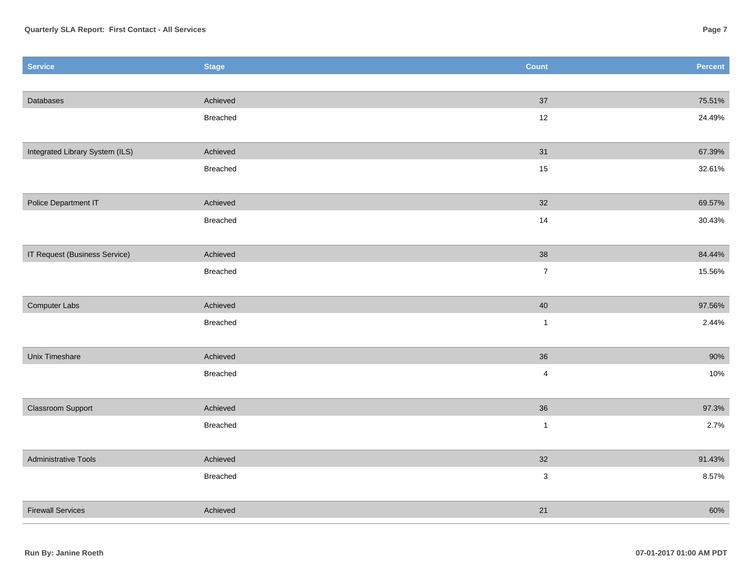| 37<br>Achieved<br>75.51%<br>Databases<br>12<br>Breached<br>24.49%<br>Integrated Library System (ILS)<br>Achieved<br>31<br>67.39%<br>Breached<br>$15\,$<br>32.61%<br>Police Department IT<br>Achieved<br>32<br>69.57%<br>Breached<br>14<br>30.43%<br>IT Request (Business Service)<br>38<br>Achieved<br>84.44%<br>$\boldsymbol{7}$<br>Breached<br>15.56%<br>$40\,$<br>Computer Labs<br>Achieved<br>97.56%<br>$\mathbf{1}$<br>2.44%<br>Breached<br>90%<br>Unix Timeshare<br>Achieved<br>36<br>$\overline{4}$<br>10%<br>Breached<br>36<br>Classroom Support<br>Achieved<br>97.3%<br>2.7%<br>Breached<br>$\mathbf{1}$<br><b>Administrative Tools</b><br>Achieved<br>32<br>91.43%<br>$\mathbf 3$<br>8.57%<br>Breached<br>21<br>Achieved<br>60%<br><b>Firewall Services</b> | <b>Service</b> | <b>Stage</b> | <b>Count</b> | Percent |
|-----------------------------------------------------------------------------------------------------------------------------------------------------------------------------------------------------------------------------------------------------------------------------------------------------------------------------------------------------------------------------------------------------------------------------------------------------------------------------------------------------------------------------------------------------------------------------------------------------------------------------------------------------------------------------------------------------------------------------------------------------------------------|----------------|--------------|--------------|---------|
|                                                                                                                                                                                                                                                                                                                                                                                                                                                                                                                                                                                                                                                                                                                                                                       |                |              |              |         |
|                                                                                                                                                                                                                                                                                                                                                                                                                                                                                                                                                                                                                                                                                                                                                                       |                |              |              |         |
|                                                                                                                                                                                                                                                                                                                                                                                                                                                                                                                                                                                                                                                                                                                                                                       |                |              |              |         |
|                                                                                                                                                                                                                                                                                                                                                                                                                                                                                                                                                                                                                                                                                                                                                                       |                |              |              |         |
|                                                                                                                                                                                                                                                                                                                                                                                                                                                                                                                                                                                                                                                                                                                                                                       |                |              |              |         |
|                                                                                                                                                                                                                                                                                                                                                                                                                                                                                                                                                                                                                                                                                                                                                                       |                |              |              |         |
|                                                                                                                                                                                                                                                                                                                                                                                                                                                                                                                                                                                                                                                                                                                                                                       |                |              |              |         |
|                                                                                                                                                                                                                                                                                                                                                                                                                                                                                                                                                                                                                                                                                                                                                                       |                |              |              |         |
|                                                                                                                                                                                                                                                                                                                                                                                                                                                                                                                                                                                                                                                                                                                                                                       |                |              |              |         |
|                                                                                                                                                                                                                                                                                                                                                                                                                                                                                                                                                                                                                                                                                                                                                                       |                |              |              |         |
|                                                                                                                                                                                                                                                                                                                                                                                                                                                                                                                                                                                                                                                                                                                                                                       |                |              |              |         |
|                                                                                                                                                                                                                                                                                                                                                                                                                                                                                                                                                                                                                                                                                                                                                                       |                |              |              |         |
|                                                                                                                                                                                                                                                                                                                                                                                                                                                                                                                                                                                                                                                                                                                                                                       |                |              |              |         |
|                                                                                                                                                                                                                                                                                                                                                                                                                                                                                                                                                                                                                                                                                                                                                                       |                |              |              |         |
|                                                                                                                                                                                                                                                                                                                                                                                                                                                                                                                                                                                                                                                                                                                                                                       |                |              |              |         |
|                                                                                                                                                                                                                                                                                                                                                                                                                                                                                                                                                                                                                                                                                                                                                                       |                |              |              |         |
|                                                                                                                                                                                                                                                                                                                                                                                                                                                                                                                                                                                                                                                                                                                                                                       |                |              |              |         |
|                                                                                                                                                                                                                                                                                                                                                                                                                                                                                                                                                                                                                                                                                                                                                                       |                |              |              |         |
|                                                                                                                                                                                                                                                                                                                                                                                                                                                                                                                                                                                                                                                                                                                                                                       |                |              |              |         |
|                                                                                                                                                                                                                                                                                                                                                                                                                                                                                                                                                                                                                                                                                                                                                                       |                |              |              |         |
|                                                                                                                                                                                                                                                                                                                                                                                                                                                                                                                                                                                                                                                                                                                                                                       |                |              |              |         |
|                                                                                                                                                                                                                                                                                                                                                                                                                                                                                                                                                                                                                                                                                                                                                                       |                |              |              |         |
|                                                                                                                                                                                                                                                                                                                                                                                                                                                                                                                                                                                                                                                                                                                                                                       |                |              |              |         |
|                                                                                                                                                                                                                                                                                                                                                                                                                                                                                                                                                                                                                                                                                                                                                                       |                |              |              |         |
|                                                                                                                                                                                                                                                                                                                                                                                                                                                                                                                                                                                                                                                                                                                                                                       |                |              |              |         |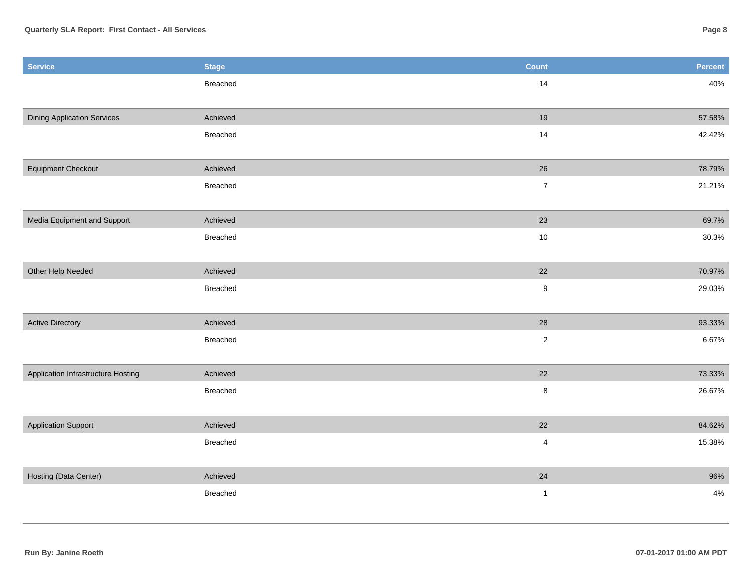| <b>Service</b>                     | <b>Stage</b>    | Count            | Percent |
|------------------------------------|-----------------|------------------|---------|
|                                    | Breached        | 14               | 40%     |
|                                    |                 |                  |         |
| <b>Dining Application Services</b> | Achieved        | 19               | 57.58%  |
|                                    | <b>Breached</b> | 14               | 42.42%  |
|                                    |                 |                  |         |
| <b>Equipment Checkout</b>          | Achieved        | $26\,$           | 78.79%  |
|                                    | Breached        | $\overline{7}$   | 21.21%  |
|                                    |                 |                  |         |
| Media Equipment and Support        | Achieved        | 23               | 69.7%   |
|                                    | Breached        | 10               | 30.3%   |
|                                    |                 |                  |         |
| Other Help Needed                  | Achieved        | 22               | 70.97%  |
|                                    | Breached        | $\boldsymbol{9}$ | 29.03%  |
|                                    |                 |                  |         |
| <b>Active Directory</b>            | Achieved        | 28               | 93.33%  |
|                                    | Breached        | $\overline{2}$   | 6.67%   |
|                                    |                 |                  |         |
| Application Infrastructure Hosting | Achieved        | 22               | 73.33%  |
|                                    | <b>Breached</b> | $\bf 8$          | 26.67%  |
|                                    |                 |                  |         |
| <b>Application Support</b>         | Achieved        | 22               | 84.62%  |
|                                    | Breached        | $\pmb{4}$        | 15.38%  |
|                                    |                 |                  |         |
| Hosting (Data Center)              | Achieved        | 24               | 96%     |
|                                    | Breached        | $\mathbf{1}$     | $4\%$   |
|                                    |                 |                  |         |